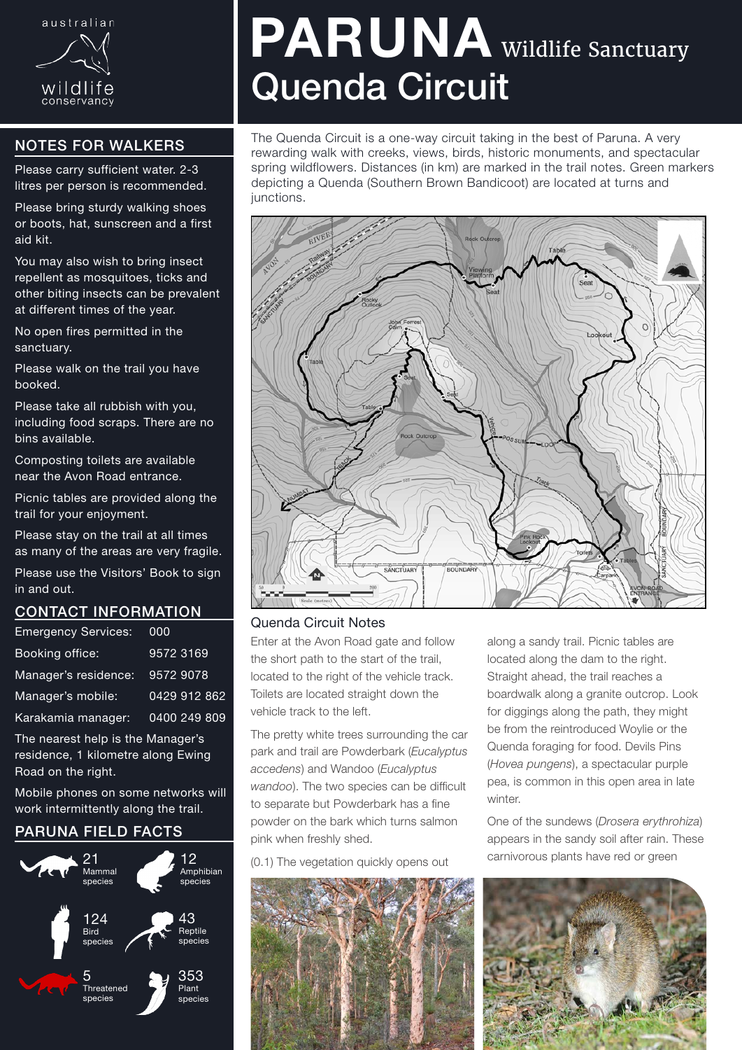

# NOTES FOR WALKERS

Please carry sufficient water. 2-3 litres per person is recommended.

Please bring sturdy walking shoes or boots, hat, sunscreen and a first aid kit.

You may also wish to bring insect repellent as mosquitoes, ticks and other biting insects can be prevalent at different times of the year.

No open fires permitted in the sanctuary.

Please walk on the trail you have booked.

Please take all rubbish with you, including food scraps. There are no bins available.

Composting toilets are available near the Avon Road entrance.

Picnic tables are provided along the trail for your enjoyment.

Please stay on the trail at all times as many of the areas are very fragile.

Please use the Visitors' Book to sign in and out.

### CONTACT INFORMATION

| <b>Emergency Services:</b> | 000          |
|----------------------------|--------------|
| Booking office:            | 9572 3169    |
| Manager's residence:       | 9572 9078    |
| Manager's mobile:          | 0429 912 862 |
| Karakamia manager:         | 0400 249 809 |

The nearest help is the Manager's residence, 1 kilometre along Ewing Road on the right.

Mobile phones on some networks will work intermittently along the trail.

## PARUNA FIELD FACTS



# PARUNA Wildlife Sanctuary Quenda Circuit

The Quenda Circuit is a one-way circuit taking in the best of Paruna. A very rewarding walk with creeks, views, birds, historic monuments, and spectacular spring wildflowers. Distances (in km) are marked in the trail notes. Green markers depicting a Quenda (Southern Brown Bandicoot) are located at turns and junctions.



#### Quenda Circuit Notes

Enter at the Avon Road gate and follow the short path to the start of the trail, located to the right of the vehicle track. Toilets are located straight down the vehicle track to the left.

The pretty white trees surrounding the car park and trail are Powderbark (*Eucalyptus accedens*) and Wandoo (*Eucalyptus wandoo*). The two species can be difficult to separate but Powderbark has a fine powder on the bark which turns salmon pink when freshly shed.

(0.1) The vegetation quickly opens out



along a sandy trail. Picnic tables are located along the dam to the right. Straight ahead, the trail reaches a boardwalk along a granite outcrop. Look for diggings along the path, they might be from the reintroduced Woylie or the Quenda foraging for food. Devils Pins (*Hovea pungens*), a spectacular purple pea, is common in this open area in late winter.

One of the sundews (*Drosera erythrohiza*) appears in the sandy soil after rain. These carnivorous plants have red or green

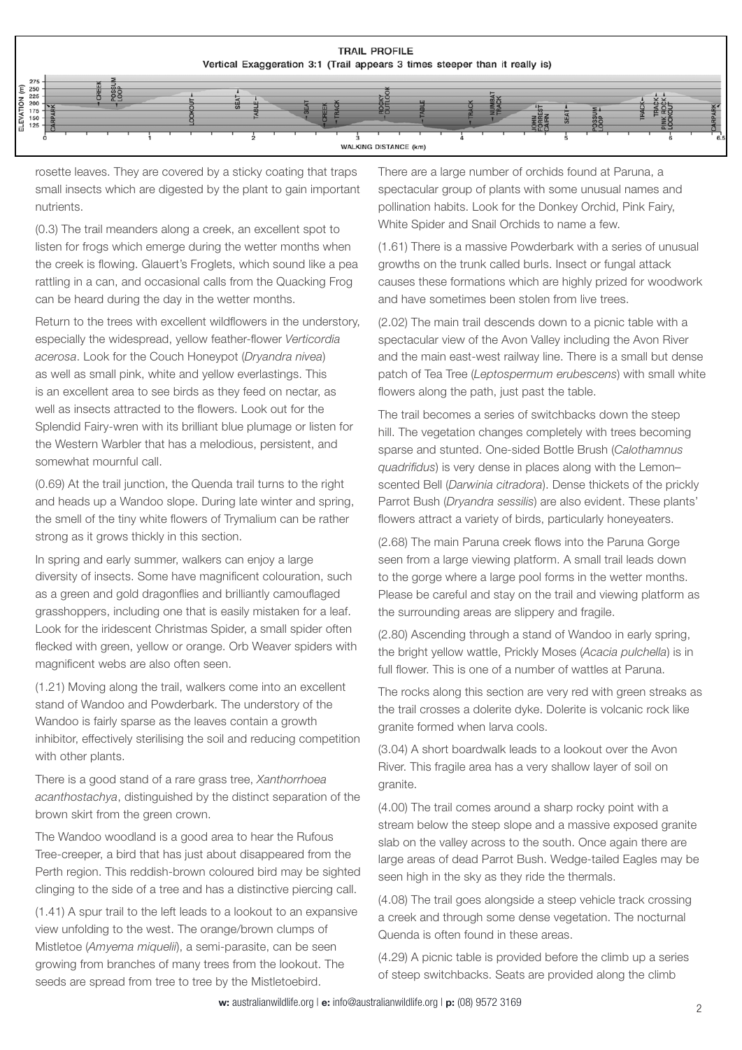

rosette leaves. They are covered by a sticky coating that traps small insects which are digested by the plant to gain important nutrients.

(0.3) The trail meanders along a creek, an excellent spot to listen for frogs which emerge during the wetter months when the creek is flowing. Glauert's Froglets, which sound like a pea rattling in a can, and occasional calls from the Quacking Frog can be heard during the day in the wetter months.

Return to the trees with excellent wildflowers in the understory, especially the widespread, yellow feather-flower *Verticordia acerosa*. Look for the Couch Honeypot (*Dryandra nivea*) as well as small pink, white and yellow everlastings. This is an excellent area to see birds as they feed on nectar, as well as insects attracted to the flowers. Look out for the Splendid Fairy-wren with its brilliant blue plumage or listen for the Western Warbler that has a melodious, persistent, and somewhat mournful call.

(0.69) At the trail junction, the Quenda trail turns to the right and heads up a Wandoo slope. During late winter and spring, the smell of the tiny white flowers of Trymalium can be rather strong as it grows thickly in this section.

In spring and early summer, walkers can enjoy a large diversity of insects. Some have magnificent colouration, such as a green and gold dragonflies and brilliantly camouflaged grasshoppers, including one that is easily mistaken for a leaf. Look for the iridescent Christmas Spider, a small spider often flecked with green, yellow or orange. Orb Weaver spiders with magnificent webs are also often seen.

(1.21) Moving along the trail, walkers come into an excellent stand of Wandoo and Powderbark. The understory of the Wandoo is fairly sparse as the leaves contain a growth inhibitor, effectively sterilising the soil and reducing competition with other plants.

There is a good stand of a rare grass tree, *Xanthorrhoea acanthostachya*, distinguished by the distinct separation of the brown skirt from the green crown.

The Wandoo woodland is a good area to hear the Rufous Tree-creeper, a bird that has just about disappeared from the Perth region. This reddish-brown coloured bird may be sighted clinging to the side of a tree and has a distinctive piercing call.

(1.41) A spur trail to the left leads to a lookout to an expansive view unfolding to the west. The orange/brown clumps of Mistletoe (*Amyema miquelii*), a semi-parasite, can be seen growing from branches of many trees from the lookout. The seeds are spread from tree to tree by the Mistletoebird.

There are a large number of orchids found at Paruna, a spectacular group of plants with some unusual names and pollination habits. Look for the Donkey Orchid, Pink Fairy, White Spider and Snail Orchids to name a few.

(1.61) There is a massive Powderbark with a series of unusual growths on the trunk called burls. Insect or fungal attack causes these formations which are highly prized for woodwork and have sometimes been stolen from live trees.

(2.02) The main trail descends down to a picnic table with a spectacular view of the Avon Valley including the Avon River and the main east-west railway line. There is a small but dense patch of Tea Tree (*Leptospermum erubescens*) with small white flowers along the path, just past the table.

The trail becomes a series of switchbacks down the steep hill. The vegetation changes completely with trees becoming sparse and stunted. One-sided Bottle Brush (*Calothamnus quadrifidus*) is very dense in places along with the Lemon– scented Bell (*Darwinia citradora*). Dense thickets of the prickly Parrot Bush (*Dryandra sessilis*) are also evident. These plants' flowers attract a variety of birds, particularly honeyeaters.

(2.68) The main Paruna creek flows into the Paruna Gorge seen from a large viewing platform. A small trail leads down to the gorge where a large pool forms in the wetter months. Please be careful and stay on the trail and viewing platform as the surrounding areas are slippery and fragile.

(2.80) Ascending through a stand of Wandoo in early spring, the bright yellow wattle, Prickly Moses (*Acacia pulchella*) is in full flower. This is one of a number of wattles at Paruna.

The rocks along this section are very red with green streaks as the trail crosses a dolerite dyke. Dolerite is volcanic rock like granite formed when larva cools.

(3.04) A short boardwalk leads to a lookout over the Avon River. This fragile area has a very shallow layer of soil on granite.

(4.00) The trail comes around a sharp rocky point with a stream below the steep slope and a massive exposed granite slab on the valley across to the south. Once again there are large areas of dead Parrot Bush. Wedge-tailed Eagles may be seen high in the sky as they ride the thermals.

(4.08) The trail goes alongside a steep vehicle track crossing a creek and through some dense vegetation. The nocturnal Quenda is often found in these areas.

(4.29) A picnic table is provided before the climb up a series of steep switchbacks. Seats are provided along the climb